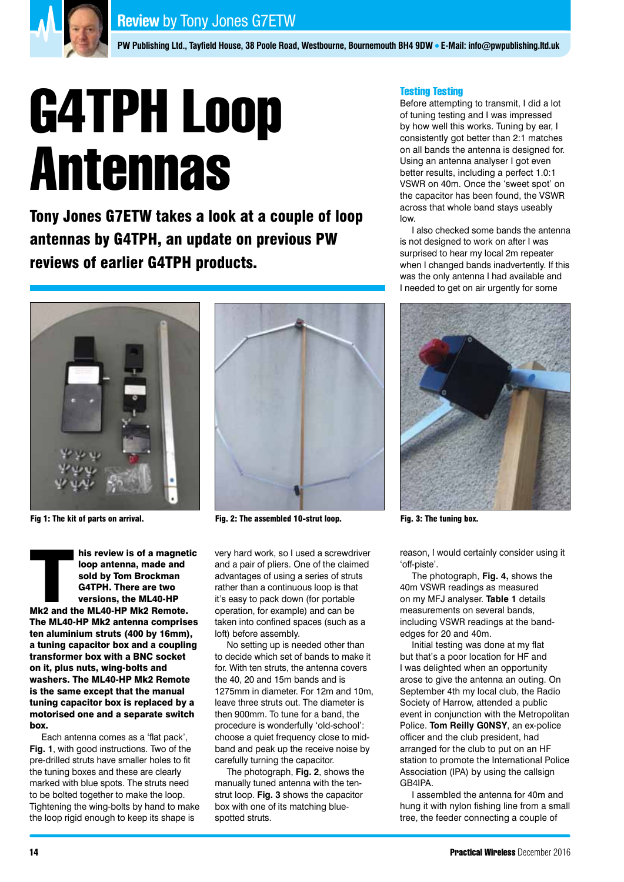

**PW Publishing Ltd., Tayfield House, 38 Poole Road, Westbourne, Bournemouth BH4 9DW . E-Mail: info@pwpublishing.ltd.uk** 

# G4TPH Loop Antennas

Tony Jones G7ETW takes a look at a couple of loop antennas by G4TPH, an update on previous PW reviews of earlier G4TPH products.



his review is of a magnetic<br>
loop antenna, made and<br>
sold by Tom Brockman<br>
G4TPH. There are two<br>
versions, the ML40-HP<br>
Mk2 and the ML40-HP Mk2 Remote. loop antenna, made and sold by Tom Brockman G4TPH. There are two versions, the ML40-HP The ML40-HP Mk2 antenna comprises ten aluminium struts (400 by 16mm), a tuning capacitor box and a coupling transformer box with a BNC socket on it, plus nuts, wing-bolts and washers. The ML40-HP Mk2 Remote is the same except that the manual tuning capacitor box is replaced by a motorised one and a separate switch box.

Each antenna comes as a 'flat pack', **Fig. 1**, with good instructions. Two of the pre-drilled struts have smaller holes to fit the tuning boxes and these are clearly marked with blue spots. The struts need to be bolted together to make the loop. Tightening the wing-bolts by hand to make the loop rigid enough to keep its shape is



Fig 1: The kit of parts on arrival. Fig. 2: The assembled 10-strut loop. Fig. 3: The tuning box.

very hard work, so I used a screwdriver and a pair of pliers. One of the claimed advantages of using a series of struts rather than a continuous loop is that it's easy to pack down (for portable operation, for example) and can be taken into confined spaces (such as a loft) before assembly.

No setting up is needed other than to decide which set of bands to make it for. With ten struts, the antenna covers the 40, 20 and 15m bands and is 1275mm in diameter. For 12m and 10m, leave three struts out. The diameter is then 900mm. To tune for a band, the procedure is wonderfully 'old-school': choose a quiet frequency close to midband and peak up the receive noise by carefully turning the capacitor.

The photograph, **Fig. 2**, shows the manually tuned antenna with the tenstrut loop. **Fig. 3** shows the capacitor box with one of its matching bluespotted struts.

# Testing Testing

Before attempting to transmit, I did a lot of tuning testing and I was impressed by how well this works. Tuning by ear, I consistently got better than 2:1 matches on all bands the antenna is designed for. Using an antenna analyser I got even better results, including a perfect 1.0:1 VSWR on 40m. Once the 'sweet spot' on the capacitor has been found, the VSWR across that whole band stays useably low.

I also checked some bands the antenna is not designed to work on after I was surprised to hear my local 2m repeater when I changed bands inadvertently. If this was the only antenna I had available and I needed to get on air urgently for some



reason, I would certainly consider using it 'off-piste'.

The photograph, **Fig. 4,** shows the 40m VSWR readings as measured on my MFJ analyser. **Table 1** details measurements on several bands, including VSWR readings at the bandedges for 20 and 40m.

Initial testing was done at my flat but that's a poor location for HF and I was delighted when an opportunity arose to give the antenna an outing. On September 4th my local club, the Radio Society of Harrow, attended a public event in conjunction with the Metropolitan Police. **Tom Reilly G0NSY**, an ex-police officer and the club president, had arranged for the club to put on an HF station to promote the International Police Association (IPA) by using the callsign GB4IPA.

I assembled the antenna for 40m and hung it with nylon fishing line from a small tree, the feeder connecting a couple of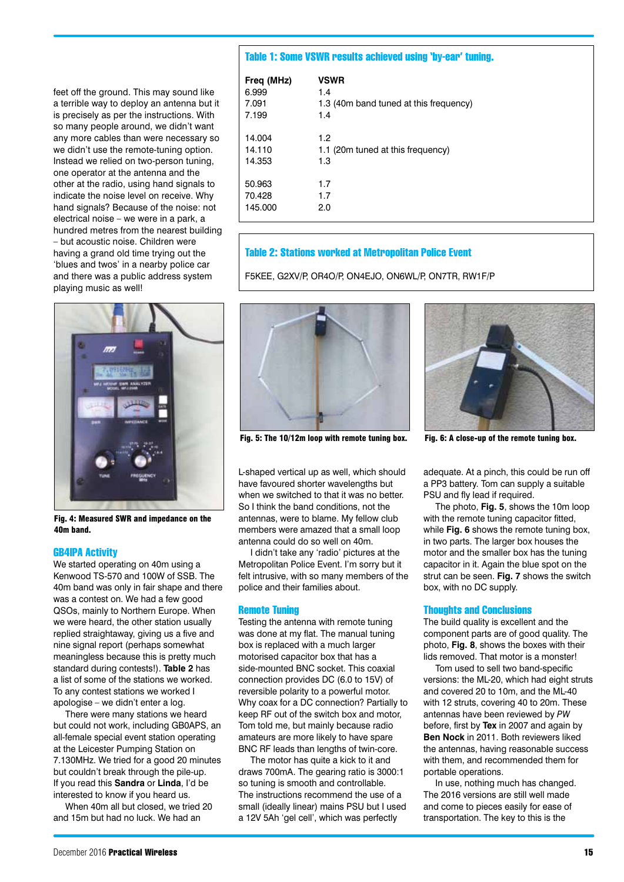feet off the ground. This may sound like a terrible way to deploy an antenna but it is precisely as per the instructions. With so many people around, we didn't want any more cables than were necessary so we didn't use the remote-tuning option. Instead we relied on two-person tuning, one operator at the antenna and the other at the radio, using hand signals to indicate the noise level on receive. Why hand signals? Because of the noise: not electrical noise – we were in a park, a hundred metres from the nearest building – but acoustic noise. Children were having a grand old time trying out the 'blues and twos' in a nearby police car and there was a public address system playing music as well!



Fig. 4: Measured SWR and impedance on the 40m band.

## GB4IPA Activity

We started operating on 40m using a Kenwood TS-570 and 100W of SSB. The 40m band was only in fair shape and there was a contest on. We had a few good QSOs, mainly to Northern Europe. When we were heard, the other station usually replied straightaway, giving us a five and nine signal report (perhaps somewhat meaningless because this is pretty much standard during contests!). **Table 2** has a list of some of the stations we worked. To any contest stations we worked I apologise – we didn't enter a log.

There were many stations we heard but could not work, including GB0APS, an all-female special event station operating at the Leicester Pumping Station on 7.130MHz. We tried for a good 20 minutes but couldn't break through the pile-up. If you read this **Sandra** or **Linda**, I'd be interested to know if you heard us.

When 40m all but closed, we tried 20 and 15m but had no luck. We had an

### Table 1: Some VSWR results achieved using 'by-ear' tuning.

| Freq (MHz) | <b>VSWR</b>                            |
|------------|----------------------------------------|
| 6.999      | 1.4                                    |
| 7.091      | 1.3 (40m band tuned at this frequency) |
| 7.199      | 1.4                                    |
| 14.004     | 1.2                                    |
| 14.110     | 1.1 (20m tuned at this frequency)      |
| 14.353     | 1.3                                    |
| 50.963     | 1.7                                    |
| 70.428     | 1.7                                    |
| 145.000    | 2.0                                    |

## Table 2: Stations worked at Metropolitan Police Event

F5KEE, G2XV/P, OR4O/P, ON4EJO, ON6WL/P, ON7TR, RW1F/P



Fig. 5: The 10/12m loop with remote tuning box. Fig. 6: A close-up of the remote tuning box.

L-shaped vertical up as well, which should have favoured shorter wavelengths but when we switched to that it was no better So I think the band conditions, not the antennas, were to blame. My fellow club members were amazed that a small loop antenna could do so well on 40m.

I didn't take any 'radio' pictures at the Metropolitan Police Event. I'm sorry but it felt intrusive, with so many members of the police and their families about.

### Remote Tuning

Testing the antenna with remote tuning was done at my flat. The manual tuning box is replaced with a much larger motorised capacitor box that has a side-mounted BNC socket. This coaxial connection provides DC (6.0 to 15V) of reversible polarity to a powerful motor. Why coax for a DC connection? Partially to keep RF out of the switch box and motor, Tom told me, but mainly because radio amateurs are more likely to have spare BNC RF leads than lengths of twin-core.

The motor has quite a kick to it and draws 700mA. The gearing ratio is 3000:1 so tuning is smooth and controllable. The instructions recommend the use of a small (ideally linear) mains PSU but I used a 12V 5Ah 'gel cell', which was perfectly



adequate. At a pinch, this could be run off a PP3 battery. Tom can supply a suitable PSU and fly lead if required.

The photo, **Fig. 5**, shows the 10m loop with the remote tuning capacitor fitted, while **Fig. 6** shows the remote tuning box. in two parts. The larger box houses the motor and the smaller box has the tuning capacitor in it. Again the blue spot on the strut can be seen. **Fig. 7** shows the switch box, with no DC supply.

### Thoughts and Conclusions

The build quality is excellent and the component parts are of good quality. The photo, **Fig. 8**, shows the boxes with their lids removed. That motor is a monster!

Tom used to sell two band-specific versions: the ML-20, which had eight struts and covered 20 to 10m, and the ML-40 with 12 struts, covering 40 to 20m. These antennas have been reviewed by *PW* before, first by **Tex** in 2007 and again by **Ben Nock** in 2011. Both reviewers liked the antennas, having reasonable success with them, and recommended them for portable operations.

In use, nothing much has changed. The 2016 versions are still well made and come to pieces easily for ease of transportation. The key to this is the